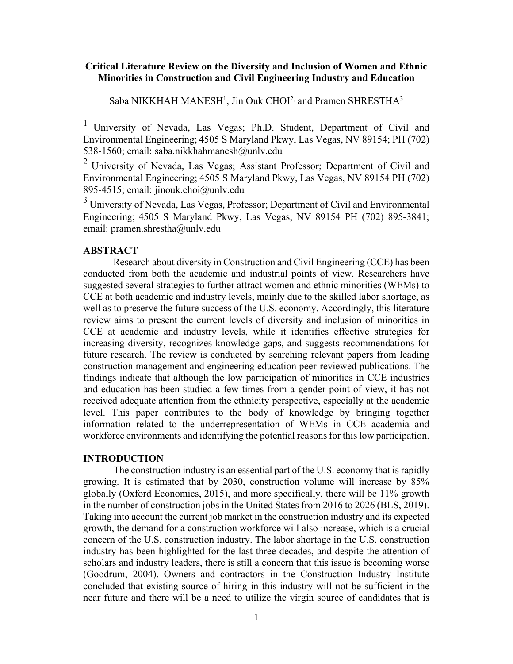# **Critical Literature Review on the Diversity and Inclusion of Women and Ethnic Minorities in Construction and Civil Engineering Industry and Education**

Saba NIKKHAH MANESH<sup>1</sup>, Jin Ouk CHOI<sup>2,</sup> and Pramen SHRESTHA<sup>3</sup>

1 University of Nevada, Las Vegas; Ph.D. Student, Department of Civil and Environmental Engineering; 4505 S Maryland Pkwy, Las Vegas, NV 89154; PH (702) 538-1560; email: saba.nikkhahmanesh@unlv.edu

 $2$  University of Nevada, Las Vegas; Assistant Professor; Department of Civil and Environmental Engineering; 4505 S Maryland Pkwy, Las Vegas, NV 89154 PH (702) 895-4515; email: jinouk.choi@unlv.edu

 $3$  University of Nevada, Las Vegas, Professor; Department of Civil and Environmental Engineering; 4505 S Maryland Pkwy, Las Vegas, NV 89154 PH (702) 895-3841; email: pramen.shrestha@unlv.edu

### **ABSTRACT**

Research about diversity in Construction and Civil Engineering (CCE) has been conducted from both the academic and industrial points of view. Researchers have suggested several strategies to further attract women and ethnic minorities (WEMs) to CCE at both academic and industry levels, mainly due to the skilled labor shortage, as well as to preserve the future success of the U.S. economy. Accordingly, this literature review aims to present the current levels of diversity and inclusion of minorities in CCE at academic and industry levels, while it identifies effective strategies for increasing diversity, recognizes knowledge gaps, and suggests recommendations for future research. The review is conducted by searching relevant papers from leading construction management and engineering education peer-reviewed publications. The findings indicate that although the low participation of minorities in CCE industries and education has been studied a few times from a gender point of view, it has not received adequate attention from the ethnicity perspective, especially at the academic level. This paper contributes to the body of knowledge by bringing together information related to the underrepresentation of WEMs in CCE academia and workforce environments and identifying the potential reasons for this low participation.

#### **INTRODUCTION**

The construction industry is an essential part of the U.S. economy that is rapidly growing. It is estimated that by 2030, construction volume will increase by 85% globally (Oxford Economics, 2015), and more specifically, there will be 11% growth in the number of construction jobs in the United States from 2016 to 2026 (BLS, 2019). Taking into account the current job market in the construction industry and its expected growth, the demand for a construction workforce will also increase, which is a crucial concern of the U.S. construction industry. The labor shortage in the U.S. construction industry has been highlighted for the last three decades, and despite the attention of scholars and industry leaders, there is still a concern that this issue is becoming worse (Goodrum, 2004). Owners and contractors in the Construction Industry Institute concluded that existing source of hiring in this industry will not be sufficient in the near future and there will be a need to utilize the virgin source of candidates that is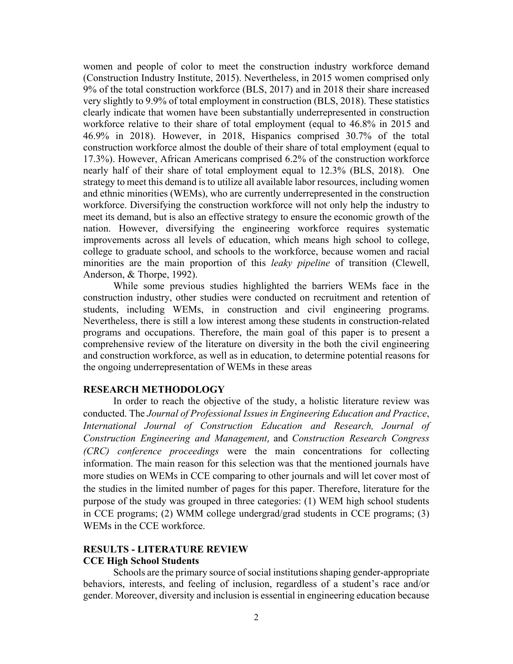women and people of color to meet the construction industry workforce demand (Construction Industry Institute, 2015). Nevertheless, in 2015 women comprised only 9% of the total construction workforce (BLS, 2017) and in 2018 their share increased very slightly to 9.9% of total employment in construction (BLS, 2018). These statistics clearly indicate that women have been substantially underrepresented in construction workforce relative to their share of total employment (equal to 46.8% in 2015 and 46.9% in 2018). However, in 2018, Hispanics comprised 30.7% of the total construction workforce almost the double of their share of total employment (equal to 17.3%). However, African Americans comprised 6.2% of the construction workforce nearly half of their share of total employment equal to 12.3% (BLS, 2018). One strategy to meet this demand is to utilize all available labor resources, including women and ethnic minorities (WEMs), who are currently underrepresented in the construction workforce. Diversifying the construction workforce will not only help the industry to meet its demand, but is also an effective strategy to ensure the economic growth of the nation. However, diversifying the engineering workforce requires systematic improvements across all levels of education, which means high school to college, college to graduate school, and schools to the workforce, because women and racial minorities are the main proportion of this *leaky pipeline* of transition (Clewell, Anderson, & Thorpe, 1992).

While some previous studies highlighted the barriers WEMs face in the construction industry, other studies were conducted on recruitment and retention of students, including WEMs, in construction and civil engineering programs. Nevertheless, there is still a low interest among these students in construction-related programs and occupations. Therefore, the main goal of this paper is to present a comprehensive review of the literature on diversity in the both the civil engineering and construction workforce, as well as in education, to determine potential reasons for the ongoing underrepresentation of WEMs in these areas

# **RESEARCH METHODOLOGY**

In order to reach the objective of the study, a holistic literature review was conducted. The *Journal of Professional Issues in Engineering Education and Practice*, *International Journal of Construction Education and Research, Journal of Construction Engineering and Management*, and *Construction Research Congress (CRC) conference proceedings* were the main concentrations for collecting information. The main reason for this selection was that the mentioned journals have more studies on WEMs in CCE comparing to other journals and will let cover most of the studies in the limited number of pages for this paper. Therefore, literature for the purpose of the study was grouped in three categories: (1) WEM high school students in CCE programs; (2) WMM college undergrad/grad students in CCE programs; (3) WEMs in the CCE workforce.

## **RESULTS - LITERATURE REVIEW CCE High School Students**

Schools are the primary source of social institutions shaping gender-appropriate behaviors, interests, and feeling of inclusion, regardless of a student's race and/or gender. Moreover, diversity and inclusion is essential in engineering education because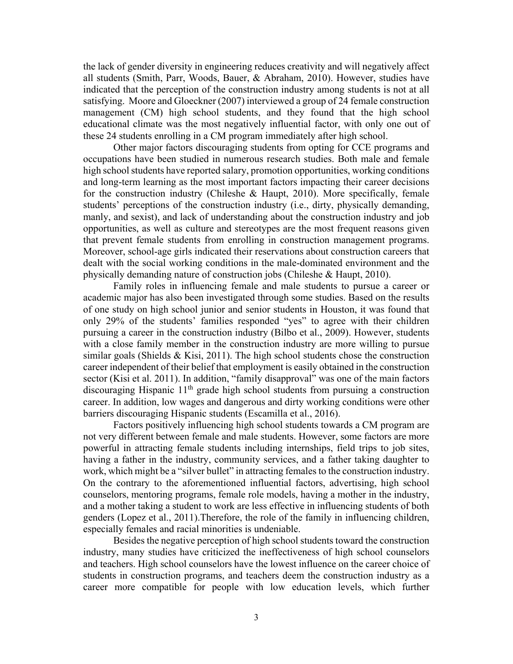the lack of gender diversity in engineering reduces creativity and will negatively affect all students (Smith, Parr, Woods, Bauer, & Abraham, 2010). However, studies have indicated that the perception of the construction industry among students is not at all satisfying. Moore and Gloeckner (2007) interviewed a group of 24 female construction management (CM) high school students, and they found that the high school educational climate was the most negatively influential factor, with only one out of these 24 students enrolling in a CM program immediately after high school.

Other major factors discouraging students from opting for CCE programs and occupations have been studied in numerous research studies. Both male and female high school students have reported salary, promotion opportunities, working conditions and long-term learning as the most important factors impacting their career decisions for the construction industry (Chileshe & Haupt, 2010). More specifically, female students' perceptions of the construction industry (i.e., dirty, physically demanding, manly, and sexist), and lack of understanding about the construction industry and job opportunities, as well as culture and stereotypes are the most frequent reasons given that prevent female students from enrolling in construction management programs. Moreover, school-age girls indicated their reservations about construction careers that dealt with the social working conditions in the male-dominated environment and the physically demanding nature of construction jobs (Chileshe & Haupt, 2010).

Family roles in influencing female and male students to pursue a career or academic major has also been investigated through some studies. Based on the results of one study on high school junior and senior students in Houston, it was found that only 29% of the students' families responded "yes" to agree with their children pursuing a career in the construction industry (Bilbo et al., 2009). However, students with a close family member in the construction industry are more willing to pursue similar goals (Shields & Kisi, 2011). The high school students chose the construction career independent of their belief that employment is easily obtained in the construction sector (Kisi et al. 2011). In addition, "family disapproval" was one of the main factors discouraging Hispanic 11<sup>th</sup> grade high school students from pursuing a construction career. In addition, low wages and dangerous and dirty working conditions were other barriers discouraging Hispanic students (Escamilla et al., 2016).

Factors positively influencing high school students towards a CM program are not very different between female and male students. However, some factors are more powerful in attracting female students including internships, field trips to job sites, having a father in the industry, community services, and a father taking daughter to work, which might be a "silver bullet" in attracting females to the construction industry. On the contrary to the aforementioned influential factors, advertising, high school counselors, mentoring programs, female role models, having a mother in the industry, and a mother taking a student to work are less effective in influencing students of both genders (Lopez et al., 2011).Therefore, the role of the family in influencing children, especially females and racial minorities is undeniable.

Besides the negative perception of high school students toward the construction industry, many studies have criticized the ineffectiveness of high school counselors and teachers. High school counselors have the lowest influence on the career choice of students in construction programs, and teachers deem the construction industry as a career more compatible for people with low education levels, which further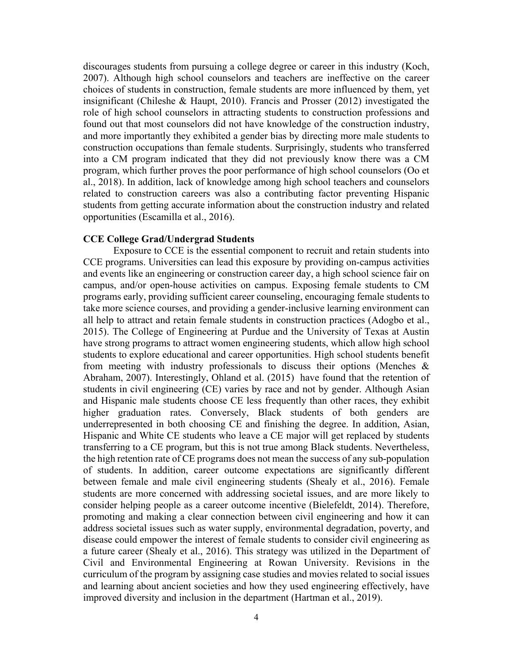discourages students from pursuing a college degree or career in this industry (Koch, 2007). Although high school counselors and teachers are ineffective on the career choices of students in construction, female students are more influenced by them, yet insignificant (Chileshe & Haupt, 2010). Francis and Prosser (2012) investigated the role of high school counselors in attracting students to construction professions and found out that most counselors did not have knowledge of the construction industry, and more importantly they exhibited a gender bias by directing more male students to construction occupations than female students. Surprisingly, students who transferred into a CM program indicated that they did not previously know there was a CM program, which further proves the poor performance of high school counselors (Oo et al., 2018). In addition, lack of knowledge among high school teachers and counselors related to construction careers was also a contributing factor preventing Hispanic students from getting accurate information about the construction industry and related opportunities (Escamilla et al., 2016).

#### **CCE College Grad/Undergrad Students**

 Exposure to CCE is the essential component to recruit and retain students into CCE programs. Universities can lead this exposure by providing on-campus activities and events like an engineering or construction career day, a high school science fair on campus, and/or open-house activities on campus. Exposing female students to CM programs early, providing sufficient career counseling, encouraging female students to take more science courses, and providing a gender-inclusive learning environment can all help to attract and retain female students in construction practices (Adogbo et al., 2015). The College of Engineering at Purdue and the University of Texas at Austin have strong programs to attract women engineering students, which allow high school students to explore educational and career opportunities. High school students benefit from meeting with industry professionals to discuss their options (Menches & Abraham, 2007). Interestingly, Ohland et al. (2015) have found that the retention of students in civil engineering (CE) varies by race and not by gender. Although Asian and Hispanic male students choose CE less frequently than other races, they exhibit higher graduation rates. Conversely, Black students of both genders are underrepresented in both choosing CE and finishing the degree. In addition, Asian, Hispanic and White CE students who leave a CE major will get replaced by students transferring to a CE program, but this is not true among Black students. Nevertheless, the high retention rate of CE programs does not mean the success of any sub-population of students. In addition, career outcome expectations are significantly different between female and male civil engineering students (Shealy et al., 2016). Female students are more concerned with addressing societal issues, and are more likely to consider helping people as a career outcome incentive (Bielefeldt, 2014). Therefore, promoting and making a clear connection between civil engineering and how it can address societal issues such as water supply, environmental degradation, poverty, and disease could empower the interest of female students to consider civil engineering as a future career (Shealy et al., 2016). This strategy was utilized in the Department of Civil and Environmental Engineering at Rowan University. Revisions in the curriculum of the program by assigning case studies and movies related to social issues and learning about ancient societies and how they used engineering effectively, have improved diversity and inclusion in the department (Hartman et al., 2019).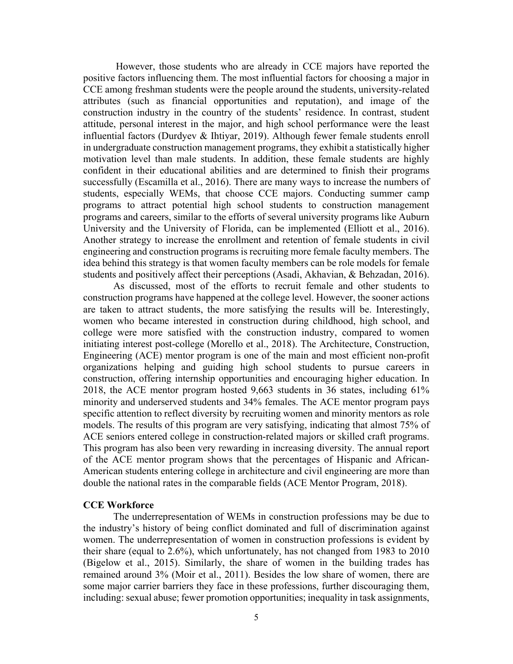However, those students who are already in CCE majors have reported the positive factors influencing them. The most influential factors for choosing a major in CCE among freshman students were the people around the students, university-related attributes (such as financial opportunities and reputation), and image of the construction industry in the country of the students' residence. In contrast, student attitude, personal interest in the major, and high school performance were the least influential factors (Durdyev & Ihtiyar, 2019). Although fewer female students enroll in undergraduate construction management programs, they exhibit a statistically higher motivation level than male students. In addition, these female students are highly confident in their educational abilities and are determined to finish their programs successfully (Escamilla et al., 2016). There are many ways to increase the numbers of students, especially WEMs, that choose CCE majors. Conducting summer camp programs to attract potential high school students to construction management programs and careers, similar to the efforts of several university programs like Auburn University and the University of Florida, can be implemented (Elliott et al., 2016). Another strategy to increase the enrollment and retention of female students in civil engineering and construction programs is recruiting more female faculty members. The idea behind this strategy is that women faculty members can be role models for female students and positively affect their perceptions (Asadi, Akhavian, & Behzadan, 2016).

As discussed, most of the efforts to recruit female and other students to construction programs have happened at the college level. However, the sooner actions are taken to attract students, the more satisfying the results will be. Interestingly, women who became interested in construction during childhood, high school, and college were more satisfied with the construction industry, compared to women initiating interest post-college (Morello et al., 2018). The Architecture, Construction, Engineering (ACE) mentor program is one of the main and most efficient non-profit organizations helping and guiding high school students to pursue careers in construction, offering internship opportunities and encouraging higher education. In 2018, the ACE mentor program hosted 9,663 students in 36 states, including 61% minority and underserved students and 34% females. The ACE mentor program pays specific attention to reflect diversity by recruiting women and minority mentors as role models. The results of this program are very satisfying, indicating that almost 75% of ACE seniors entered college in construction-related majors or skilled craft programs. This program has also been very rewarding in increasing diversity. The annual report of the ACE mentor program shows that the percentages of Hispanic and African-American students entering college in architecture and civil engineering are more than double the national rates in the comparable fields (ACE Mentor Program, 2018).

### **CCE Workforce**

The underrepresentation of WEMs in construction professions may be due to the industry's history of being conflict dominated and full of discrimination against women. The underrepresentation of women in construction professions is evident by their share (equal to 2.6%), which unfortunately, has not changed from 1983 to 2010 (Bigelow et al., 2015). Similarly, the share of women in the building trades has remained around 3% (Moir et al., 2011). Besides the low share of women, there are some major carrier barriers they face in these professions, further discouraging them, including: sexual abuse; fewer promotion opportunities; inequality in task assignments,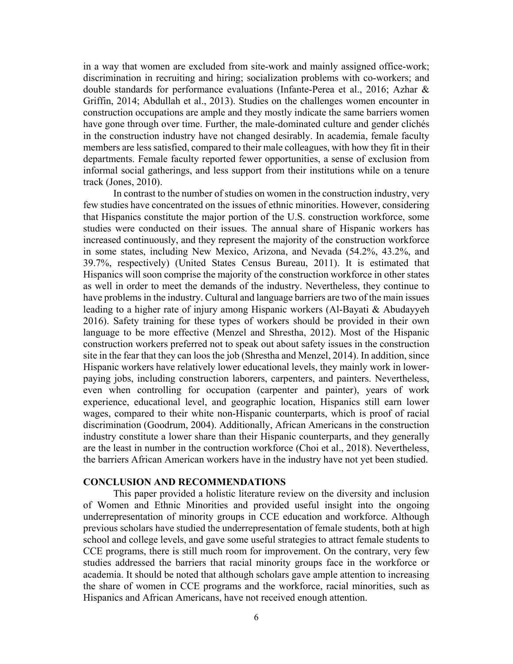in a way that women are excluded from site-work and mainly assigned office-work; discrimination in recruiting and hiring; socialization problems with co-workers; and double standards for performance evaluations (Infante-Perea et al., 2016; Azhar & Griffin, 2014; Abdullah et al., 2013). Studies on the challenges women encounter in construction occupations are ample and they mostly indicate the same barriers women have gone through over time. Further, the male-dominated culture and gender clichés in the construction industry have not changed desirably. In academia, female faculty members are less satisfied, compared to their male colleagues, with how they fit in their departments. Female faculty reported fewer opportunities, a sense of exclusion from informal social gatherings, and less support from their institutions while on a tenure track (Jones, 2010).

In contrast to the number of studies on women in the construction industry, very few studies have concentrated on the issues of ethnic minorities. However, considering that Hispanics constitute the major portion of the U.S. construction workforce, some studies were conducted on their issues. The annual share of Hispanic workers has increased continuously, and they represent the majority of the construction workforce in some states, including New Mexico, Arizona, and Nevada (54.2%, 43.2%, and 39.7%, respectively) (United States Census Bureau, 2011). It is estimated that Hispanics will soon comprise the majority of the construction workforce in other states as well in order to meet the demands of the industry. Nevertheless, they continue to have problems in the industry. Cultural and language barriers are two of the main issues leading to a higher rate of injury among Hispanic workers (Al-Bayati & Abudayyeh 2016). Safety training for these types of workers should be provided in their own language to be more effective (Menzel and Shrestha, 2012). Most of the Hispanic construction workers preferred not to speak out about safety issues in the construction site in the fear that they can loos the job (Shrestha and Menzel, 2014). In addition, since Hispanic workers have relatively lower educational levels, they mainly work in lowerpaying jobs, including construction laborers, carpenters, and painters. Nevertheless, even when controlling for occupation (carpenter and painter), years of work experience, educational level, and geographic location, Hispanics still earn lower wages, compared to their white non-Hispanic counterparts, which is proof of racial discrimination (Goodrum, 2004). Additionally, African Americans in the construction industry constitute a lower share than their Hispanic counterparts, and they generally are the least in number in the contruction workforce (Choi et al., 2018). Nevertheless, the barriers African American workers have in the industry have not yet been studied.

### **CONCLUSION AND RECOMMENDATIONS**

This paper provided a holistic literature review on the diversity and inclusion of Women and Ethnic Minorities and provided useful insight into the ongoing underrepresentation of minority groups in CCE education and workforce. Although previous scholars have studied the underrepresentation of female students, both at high school and college levels, and gave some useful strategies to attract female students to CCE programs, there is still much room for improvement. On the contrary, very few studies addressed the barriers that racial minority groups face in the workforce or academia. It should be noted that although scholars gave ample attention to increasing the share of women in CCE programs and the workforce, racial minorities, such as Hispanics and African Americans, have not received enough attention.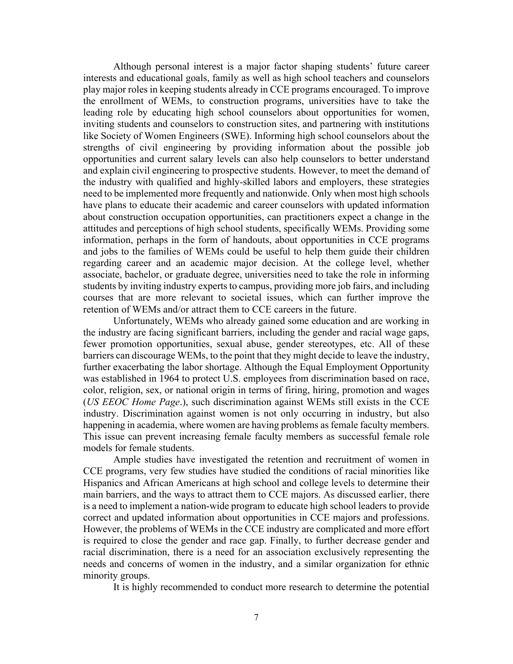Although personal interest is a major factor shaping students' future career interests and educational goals, family as well as high school teachers and counselors play major roles in keeping students already in CCE programs encouraged. To improve the enrollment of WEMs, to construction programs, universities have to take the leading role by educating high school counselors about opportunities for women, inviting students and counselors to construction sites, and partnering with institutions like Society of Women Engineers (SWE). Informing high school counselors about the strengths of civil engineering by providing information about the possible job opportunities and current salary levels can also help counselors to better understand and explain civil engineering to prospective students. However, to meet the demand of the industry with qualified and highly-skilled labors and employers, these strategies need to be implemented more frequently and nationwide. Only when most high schools have plans to educate their academic and career counselors with updated information about construction occupation opportunities, can practitioners expect a change in the attitudes and perceptions of high school students, specifically WEMs. Providing some information, perhaps in the form of handouts, about opportunities in CCE programs and jobs to the families of WEMs could be useful to help them guide their children regarding career and an academic major decision. At the college level, whether associate, bachelor, or graduate degree, universities need to take the role in informing students by inviting industry experts to campus, providing more job fairs, and including courses that are more relevant to societal issues, which can further improve the retention of WEMs and/or attract them to CCE careers in the future.

Unfortunately, WEMs who already gained some education and are working in the industry are facing significant barriers, including the gender and racial wage gaps, fewer promotion opportunities, sexual abuse, gender stereotypes, etc. All of these barriers can discourage WEMs, to the point that they might decide to leave the industry, further exacerbating the labor shortage. Although the Equal Employment Opportunity was established in 1964 to protect U.S. employees from discrimination based on race, color, religion, sex, or national origin in terms of firing, hiring, promotion and wages (*US EEOC Home Page*.), such discrimination against WEMs still exists in the CCE industry. Discrimination against women is not only occurring in industry, but also happening in academia, where women are having problems as female faculty members. This issue can prevent increasing female faculty members as successful female role models for female students.

 Ample studies have investigated the retention and recruitment of women in CCE programs, very few studies have studied the conditions of racial minorities like Hispanics and African Americans at high school and college levels to determine their main barriers, and the ways to attract them to CCE majors. As discussed earlier, there is a need to implement a nation-wide program to educate high school leaders to provide correct and updated information about opportunities in CCE majors and professions. However, the problems of WEMs in the CCE industry are complicated and more effort is required to close the gender and race gap. Finally, to further decrease gender and racial discrimination, there is a need for an association exclusively representing the needs and concerns of women in the industry, and a similar organization for ethnic minority groups.

It is highly recommended to conduct more research to determine the potential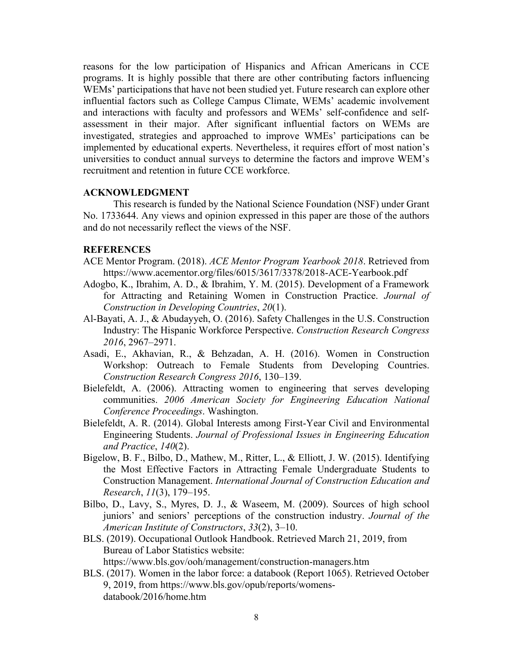reasons for the low participation of Hispanics and African Americans in CCE programs. It is highly possible that there are other contributing factors influencing WEMs' participations that have not been studied yet. Future research can explore other influential factors such as College Campus Climate, WEMs' academic involvement and interactions with faculty and professors and WEMs' self-confidence and selfassessment in their major. After significant influential factors on WEMs are investigated, strategies and approached to improve WMEs' participations can be implemented by educational experts. Nevertheless, it requires effort of most nation's universities to conduct annual surveys to determine the factors and improve WEM's recruitment and retention in future CCE workforce.

# **ACKNOWLEDGMENT**

This research is funded by the National Science Foundation (NSF) under Grant No. 1733644. Any views and opinion expressed in this paper are those of the authors and do not necessarily reflect the views of the NSF.

# **REFERENCES**

- ACE Mentor Program. (2018). *ACE Mentor Program Yearbook 2018*. Retrieved from https://www.acementor.org/files/6015/3617/3378/2018-ACE-Yearbook.pdf
- Adogbo, K., Ibrahim, A. D., & Ibrahim, Y. M. (2015). Development of a Framework for Attracting and Retaining Women in Construction Practice. *Journal of Construction in Developing Countries*, *20*(1).
- Al-Bayati, A. J., & Abudayyeh, O. (2016). Safety Challenges in the U.S. Construction Industry: The Hispanic Workforce Perspective. *Construction Research Congress 2016*, 2967–2971.
- Asadi, E., Akhavian, R., & Behzadan, A. H. (2016). Women in Construction Workshop: Outreach to Female Students from Developing Countries. *Construction Research Congress 2016*, 130–139.
- Bielefeldt, A. (2006). Attracting women to engineering that serves developing communities. *2006 American Society for Engineering Education National Conference Proceedings*. Washington.
- Bielefeldt, A. R. (2014). Global Interests among First-Year Civil and Environmental Engineering Students. *Journal of Professional Issues in Engineering Education and Practice*, *140*(2).
- Bigelow, B. F., Bilbo, D., Mathew, M., Ritter, L., & Elliott, J. W. (2015). Identifying the Most Effective Factors in Attracting Female Undergraduate Students to Construction Management. *International Journal of Construction Education and Research*, *11*(3), 179–195.
- Bilbo, D., Lavy, S., Myres, D. J., & Waseem, M. (2009). Sources of high school juniors' and seniors' perceptions of the construction industry. *Journal of the American Institute of Constructors*, *33*(2), 3–10.
- BLS. (2019). Occupational Outlook Handbook. Retrieved March 21, 2019, from Bureau of Labor Statistics website:

https://www.bls.gov/ooh/management/construction-managers.htm

BLS. (2017). Women in the labor force: a databook (Report 1065). Retrieved October 9, 2019, from https://www.bls.gov/opub/reports/womensdatabook/2016/home.htm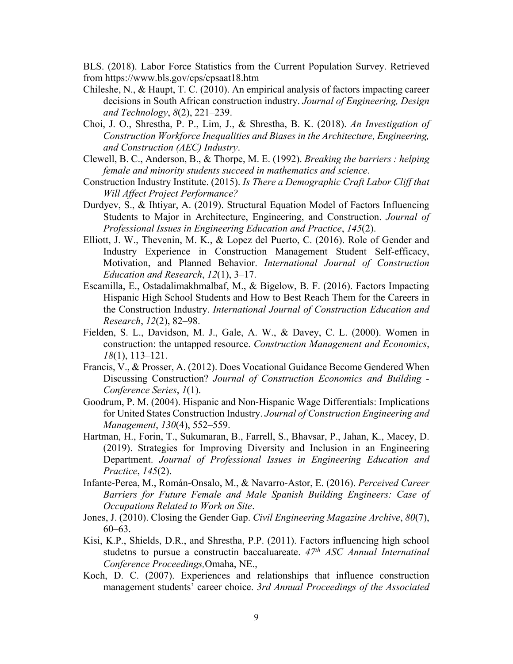BLS. (2018). Labor Force Statistics from the Current Population Survey. Retrieved from https://www.bls.gov/cps/cpsaat18.htm

- Chileshe, N., & Haupt, T. C. (2010). An empirical analysis of factors impacting career decisions in South African construction industry. *Journal of Engineering, Design and Technology*, *8*(2), 221–239.
- Choi, J. O., Shrestha, P. P., Lim, J., & Shrestha, B. K. (2018). *An Investigation of Construction Workforce Inequalities and Biases in the Architecture, Engineering, and Construction (AEC) Industry*.
- Clewell, B. C., Anderson, B., & Thorpe, M. E. (1992). *Breaking the barriers : helping female and minority students succeed in mathematics and science*.
- Construction Industry Institute. (2015). *Is There a Demographic Craft Labor Cliff that Will Affect Project Performance?*
- Durdyev, S., & Ihtiyar, A. (2019). Structural Equation Model of Factors Influencing Students to Major in Architecture, Engineering, and Construction. *Journal of Professional Issues in Engineering Education and Practice*, *145*(2).
- Elliott, J. W., Thevenin, M. K., & Lopez del Puerto, C. (2016). Role of Gender and Industry Experience in Construction Management Student Self-efficacy, Motivation, and Planned Behavior. *International Journal of Construction Education and Research*, *12*(1), 3–17.
- Escamilla, E., Ostadalimakhmalbaf, M., & Bigelow, B. F. (2016). Factors Impacting Hispanic High School Students and How to Best Reach Them for the Careers in the Construction Industry. *International Journal of Construction Education and Research*, *12*(2), 82–98.
- Fielden, S. L., Davidson, M. J., Gale, A. W., & Davey, C. L. (2000). Women in construction: the untapped resource. *Construction Management and Economics*, *18*(1), 113–121.
- Francis, V., & Prosser, A. (2012). Does Vocational Guidance Become Gendered When Discussing Construction? *Journal of Construction Economics and Building - Conference Series*, *1*(1).
- Goodrum, P. M. (2004). Hispanic and Non-Hispanic Wage Differentials: Implications for United States Construction Industry. *Journal of Construction Engineering and Management*, *130*(4), 552–559.
- Hartman, H., Forin, T., Sukumaran, B., Farrell, S., Bhavsar, P., Jahan, K., Macey, D. (2019). Strategies for Improving Diversity and Inclusion in an Engineering Department. *Journal of Professional Issues in Engineering Education and Practice*, *145*(2).
- Infante-Perea, M., Román-Onsalo, M., & Navarro-Astor, E. (2016). *Perceived Career Barriers for Future Female and Male Spanish Building Engineers: Case of Occupations Related to Work on Site*.
- Jones, J. (2010). Closing the Gender Gap. *Civil Engineering Magazine Archive*, *80*(7), 60–63.
- Kisi, K.P., Shields, D.R., and Shrestha, P.P. (2011). Factors influencing high school studetns to pursue a constructin baccaluareate. *47th ASC Annual Internatinal Conference Proceedings,*Omaha, NE.,
- Koch, D. C. (2007). Experiences and relationships that influence construction management students' career choice. *3rd Annual Proceedings of the Associated*